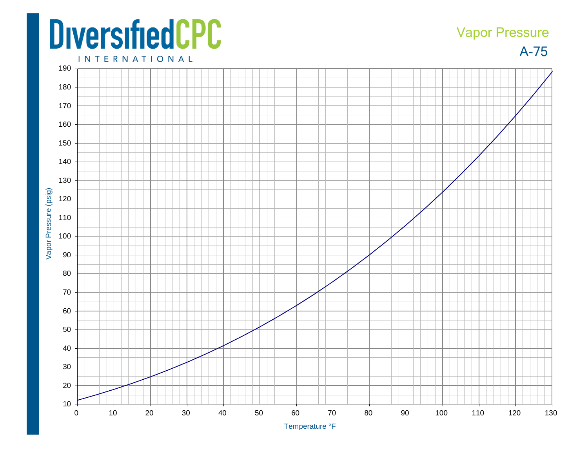## **DiversifiedCPC**

## Vapor Pressure

A-75

**INTERNATIONAL**  Vapor Pressure (psig) Vapor Pressure (psig) 10 20 30 40 50 60 70 80 90 100 110 120 130

Temperature °F